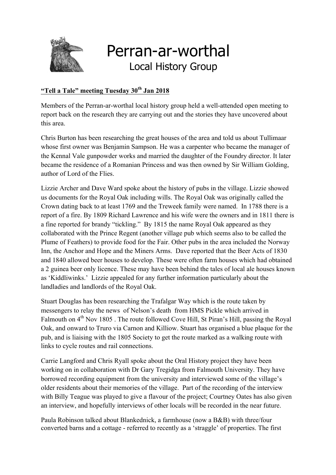

## Perran-ar-worthal Local History Group

## **"Tell a Tale" meeting Tuesday 30th Jan 2018**

Members of the Perran-ar-worthal local history group held a well-attended open meeting to report back on the research they are carrying out and the stories they have uncovered about this area.

Chris Burton has been researching the great houses of the area and told us about Tullimaar whose first owner was Benjamin Sampson. He was a carpenter who became the manager of the Kennal Vale gunpowder works and married the daughter of the Foundry director. It later became the residence of a Romanian Princess and was then owned by Sir William Golding, author of Lord of the Flies.

Lizzie Archer and Dave Ward spoke about the history of pubs in the village. Lizzie showed us documents for the Royal Oak including wills. The Royal Oak was originally called the Crown dating back to at least 1769 and the Treweek family were named. In 1788 there is a report of a fire. By 1809 Richard Lawrence and his wife were the owners and in 1811 there is a fine reported for brandy "tickling." By 1815 the name Royal Oak appeared as they collaborated with the Prince Regent (another village pub which seems also to be called the Plume of Feathers) to provide food for the Fair. Other pubs in the area included the Norway Inn, the Anchor and Hope and the Miners Arms. Dave reported that the Beer Acts of 1830 and 1840 allowed beer houses to develop. These were often farm houses which had obtained a 2 guinea beer only licence. These may have been behind the tales of local ale houses known as 'Kiddliwinks.' Lizzie appealed for any further information particularly about the landladies and landlords of the Royal Oak.

Stuart Douglas has been researching the Trafalgar Way which is the route taken by messengers to relay the news of Nelson's death from HMS Pickle which arrived in Falmouth on  $4<sup>th</sup>$  Nov 1805. The route followed Cove Hill, St Piran's Hill, passing the Royal Oak, and onward to Truro via Carnon and Killiow. Stuart has organised a blue plaque for the pub, and is liaising with the 1805 Society to get the route marked as a walking route with links to cycle routes and rail connections.

Carrie Langford and Chris Ryall spoke about the Oral History project they have been working on in collaboration with Dr Gary Tregidga from Falmouth University. They have borrowed recording equipment from the university and interviewed some of the village's older residents about their memories of the village. Part of the recording of the interview with Billy Teague was played to give a flavour of the project; Courtney Oates has also given an interview, and hopefully interviews of other locals will be recorded in the near future.

Paula Robinson talked about Blankednick, a farmhouse (now a B&B) with three/four converted barns and a cottage - referred to recently as a 'straggle' of properties. The first